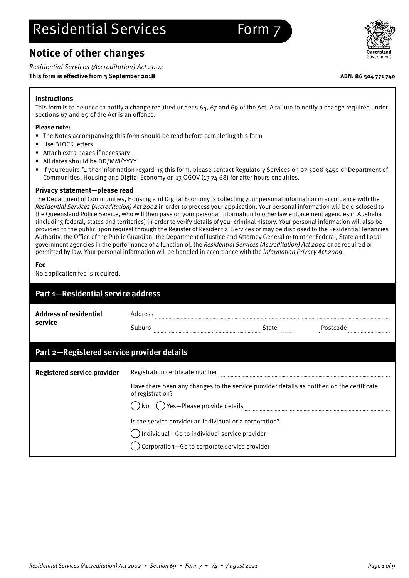## **Notice of other changes**

Residential Services (Accreditation) Act 2002

### **This form is effective from 3 September 2018 ABN: 86 504 771 740**

### **Instructions**

This form is to be used to notify a change required under s 64, 67 and 69 of the Act. A failure to notify a change required under sections 67 and 69 of the Act is an offence.

### **Please note:**

- The Notes accompanying this form should be read before completing this form
- Use BLOCK letters
- Attach extra pages if necessary
- All dates should be DD/MM/YYYY
- If you require further information regarding this form, please contact Regulatory Services on 07 3008 3450 or Department of Communities, Housing and Digital Economy on 13 QGOV (13 74 68) for after hours enquiries.

### **Privacy statement—please read**

The Department of Communities, Housing and Digital Economy is collecting your personal information in accordance with the Residential Services (Accreditation) Act 2002 in order to process your application. Your personal information will be disclosed to the Queensland Police Service, who will then pass on your personal information to other law enforcement agencies in Australia (including federal, states and territories) in order to verify details of your criminal history. Your personal information will also be provided to the public upon request through the Register of Residential Services or may be disclosed to the Residential Tenancies Authority, the Office of the Public Guardian, the Department of Justice and Attorney General or to other Federal, State and Local government agencies in the performance of a function of, the Residential Services (Accreditation) Act 2002 or as required or permitted by law. Your personal information will be handled in accordance with the Information Privacy Act 2009.

### **Fee**

No application fee is required.

| Part 1-Residential service address         |                                                                                                                                                                                                                                                                                                                                                       |
|--------------------------------------------|-------------------------------------------------------------------------------------------------------------------------------------------------------------------------------------------------------------------------------------------------------------------------------------------------------------------------------------------------------|
| <b>Address of residential</b><br>service   | Address<br>Suburb<br>Postcode<br>State<br>                                                                                                                                                                                                                                                                                                            |
| Part 2-Registered service provider details |                                                                                                                                                                                                                                                                                                                                                       |
| Registered service provider                | Registration certificate number<br>Have there been any changes to the service provider details as notified on the certificate<br>of registration?<br>$\bigcirc$ Yes—Please provide details<br>Is the service provider an individual or a corporation?<br>Individual-Go to individual service provider<br>Corporation-Go to corporate service provider |

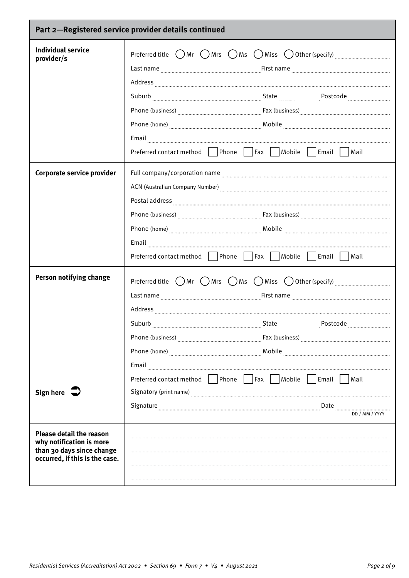| Part 2-Registered service provider details continued                                                                       |                                                                                                                                                                                                                                                                                                                                                                                                                                                                                                                                                                     |
|----------------------------------------------------------------------------------------------------------------------------|---------------------------------------------------------------------------------------------------------------------------------------------------------------------------------------------------------------------------------------------------------------------------------------------------------------------------------------------------------------------------------------------------------------------------------------------------------------------------------------------------------------------------------------------------------------------|
| <b>Individual service</b><br>provider/s                                                                                    | Preferred title $\bigcirc$ Mr $\bigcirc$ Mrs $\bigcirc$ Ms $\bigcirc$ Miss $\bigcirc$ Other (specify) $\ldots$<br>Preferred contact method    Phone    Fax    Mobile    Email    Mail                                                                                                                                                                                                                                                                                                                                                                               |
| Corporate service provider                                                                                                 | ACN (Australian Company Number) Manuscrittine and Company Number 2014<br>Email<br>Preferred contact method   Phone   Fax   Mobile   Email   Mail                                                                                                                                                                                                                                                                                                                                                                                                                    |
| Person notifying change<br>Sign here $\Rightarrow$                                                                         | Preferred title $\bigcirc$ Mr $\bigcirc$ Mrs $\bigcirc$ Ms $\bigcirc$ Miss $\bigcirc$ Other (specify) $\ldots$ $\ldots$ $\ldots$ $\ldots$ $\ldots$<br>Suburb<br>State <b>State</b><br>Postcode<br>Email<br>Preferred contact method $\Box$ Phone $\Box$ Fax $\Box$ Mobile $\Box$ Email $\Box$<br>Mail<br>Signatory (print name) <b>manufacture and contract to the contract of the contract of the contract of the contract of the contract of the contract of the contract of the contract of the contract of the contract of the contra</b><br>Date $\frac{1}{2}$ |
| <b>Please detail the reason</b><br>why notification is more<br>than 30 days since change<br>occurred, if this is the case. |                                                                                                                                                                                                                                                                                                                                                                                                                                                                                                                                                                     |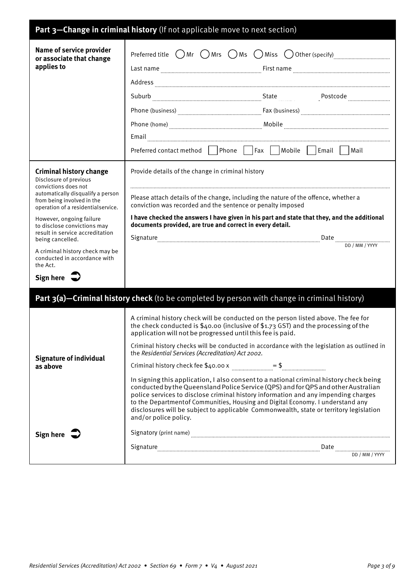| Part 3-Change in criminal history (If not applicable move to next section)                                                                                                                |                                                                                                                                                                                                                                                                                                                                                                                                                                                                                  |
|-------------------------------------------------------------------------------------------------------------------------------------------------------------------------------------------|----------------------------------------------------------------------------------------------------------------------------------------------------------------------------------------------------------------------------------------------------------------------------------------------------------------------------------------------------------------------------------------------------------------------------------------------------------------------------------|
| <b>Name of service provider</b><br>or associate that change<br>applies to                                                                                                                 | Preferred title $\bigcirc$ Mr $\bigcirc$ Mrs $\bigcirc$ Ms $\bigcirc$ Miss $\bigcirc$ Other (specify) $\frac{1}{\sqrt{2}}$                                                                                                                                                                                                                                                                                                                                                       |
|                                                                                                                                                                                           |                                                                                                                                                                                                                                                                                                                                                                                                                                                                                  |
|                                                                                                                                                                                           |                                                                                                                                                                                                                                                                                                                                                                                                                                                                                  |
|                                                                                                                                                                                           | $\textbf{Phone (home)} \textcolor{red}{p} \textbf{} \textcolor{red}{p} \textbf{} \textcolor{red}{p} \textbf{} \textcolor{red}{p} \textbf{} \textcolor{red}{p} \textbf{} \textcolor{red}{p} \textbf{} \textcolor{red}{p} \textbf{} \textcolor{red}{p} \textbf{} \textcolor{red}{p} \textbf{} \textcolor{red}{p} \textbf{} \textcolor{red}{p} \textbf{} \textcolor{red}{p} \textbf{} \textcolor{red}{p} \textbf{} \textcolor{red}{p} \textbf{} \textcolor{red}{p} \textbf{} \text$ |
|                                                                                                                                                                                           |                                                                                                                                                                                                                                                                                                                                                                                                                                                                                  |
|                                                                                                                                                                                           | Preferred contact method Phone Fax Mobile Email Anail                                                                                                                                                                                                                                                                                                                                                                                                                            |
| <b>Criminal history change</b><br>Disclosure of previous<br>convictions does not<br>automatically disqualify a person<br>from being involved in the<br>operation of a residentialservice. | Provide details of the change in criminal history                                                                                                                                                                                                                                                                                                                                                                                                                                |
|                                                                                                                                                                                           | Please attach details of the change, including the nature of the offence, whether a<br>conviction was recorded and the sentence or penalty imposed                                                                                                                                                                                                                                                                                                                               |
| However, ongoing failure<br>to disclose convictions may<br>result in service accreditation                                                                                                | I have checked the answers I have given in his part and state that they, and the additional<br>documents provided, are true and correct in every detail.                                                                                                                                                                                                                                                                                                                         |
| being cancelled.<br>A criminal history check may be<br>conducted in accordance with<br>the Act.                                                                                           | Signature <b>Example 20</b> Date <b>Constant Construct Construct Construct</b> Date <b>Construct Construct Construct Construct</b> DD / MM / YYYY                                                                                                                                                                                                                                                                                                                                |
| Sign here $\Rightarrow$                                                                                                                                                                   |                                                                                                                                                                                                                                                                                                                                                                                                                                                                                  |
|                                                                                                                                                                                           | Part 3(a)-Criminal history check (to be completed by person with change in criminal history)                                                                                                                                                                                                                                                                                                                                                                                     |
| <b>Signature of individual</b>                                                                                                                                                            | A criminal history check will be conducted on the person listed above. The fee for<br>the check conducted is \$40.00 (inclusive of \$1.73 GST) and the processing of the<br>application will not be progressed until this fee is paid.                                                                                                                                                                                                                                           |
|                                                                                                                                                                                           | Criminal history checks will be conducted in accordance with the legislation as outlined in<br>the Residential Services (Accreditation) Act 2002.                                                                                                                                                                                                                                                                                                                                |
| as above                                                                                                                                                                                  | Criminal history check fee $$40.00 \times 2000$ = \$                                                                                                                                                                                                                                                                                                                                                                                                                             |
|                                                                                                                                                                                           | In signing this application, I also consent to a national criminal history check being<br>conducted by the Queensland Police Service (QPS) and for QPS and other Australian<br>police services to disclose criminal history information and any impending charges<br>to the Departmentof Communities, Housing and Digital Economy. I understand any<br>disclosures will be subject to applicable Commonwealth, state or territory legislation<br>and/or police policy.           |
| Sign here $\sqrt{\phantom{a}}$                                                                                                                                                            | Signatory (print name) manufacture and the contract of the contract of the contract of the contract of the contract of the contract of the contract of the contract of the contract of the contract of the contract of the con                                                                                                                                                                                                                                                   |
|                                                                                                                                                                                           |                                                                                                                                                                                                                                                                                                                                                                                                                                                                                  |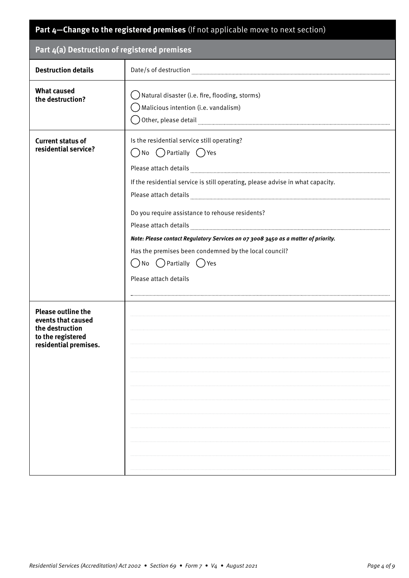| Part 4-Change to the registered premises (If not applicable move to next section)                                |                                                                                                                                                                                                                                                                                                                                                                                                                                                                    |  |
|------------------------------------------------------------------------------------------------------------------|--------------------------------------------------------------------------------------------------------------------------------------------------------------------------------------------------------------------------------------------------------------------------------------------------------------------------------------------------------------------------------------------------------------------------------------------------------------------|--|
| Part 4(a) Destruction of registered premises                                                                     |                                                                                                                                                                                                                                                                                                                                                                                                                                                                    |  |
| <b>Destruction details</b>                                                                                       |                                                                                                                                                                                                                                                                                                                                                                                                                                                                    |  |
| <b>What caused</b><br>the destruction?                                                                           | Natural disaster (i.e. fire, flooding, storms)<br>Malicious intention (i.e. vandalism)                                                                                                                                                                                                                                                                                                                                                                             |  |
| <b>Current status of</b><br>residential service?                                                                 | Is the residential service still operating?<br>No ( ) Partially ( ) Yes<br>$\left(\begin{array}{c} \end{array}\right)$<br>If the residential service is still operating, please advise in what capacity.<br>Do you require assistance to rehouse residents?<br>Note: Please contact Regulatory Services on 07 3008 3450 as a matter of priority.<br>Has the premises been condemned by the local council?<br>( ) No ( ) Partially ( ) Yes<br>Please attach details |  |
| <b>Please outline the</b><br>events that caused<br>the destruction<br>to the registered<br>residential premises. |                                                                                                                                                                                                                                                                                                                                                                                                                                                                    |  |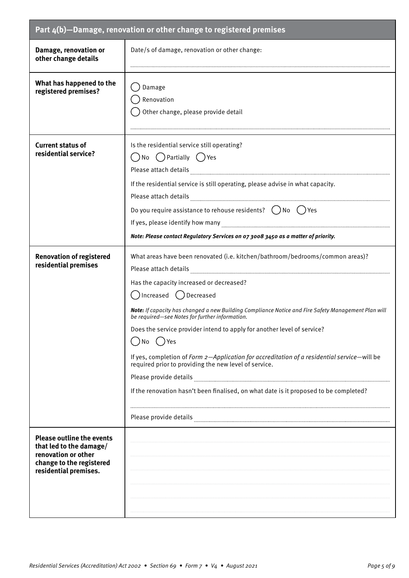| Part 4(b)-Damage, renovation or other change to registered premises                                                                     |                                                                                                                                                                                                                                                                                                                                                                                                                                                                                                                                                                                                                                                                                                              |
|-----------------------------------------------------------------------------------------------------------------------------------------|--------------------------------------------------------------------------------------------------------------------------------------------------------------------------------------------------------------------------------------------------------------------------------------------------------------------------------------------------------------------------------------------------------------------------------------------------------------------------------------------------------------------------------------------------------------------------------------------------------------------------------------------------------------------------------------------------------------|
| Damage, renovation or<br>other change details                                                                                           | Date/s of damage, renovation or other change:                                                                                                                                                                                                                                                                                                                                                                                                                                                                                                                                                                                                                                                                |
| What has happened to the<br>registered premises?                                                                                        | Damage<br>Renovation<br>Other change, please provide detail                                                                                                                                                                                                                                                                                                                                                                                                                                                                                                                                                                                                                                                  |
| <b>Current status of</b><br>residential service?                                                                                        | Is the residential service still operating?<br>( ) No ( ) Partially ( ) Yes<br>If the residential service is still operating, please advise in what capacity.<br>Do you require assistance to rehouse residents? $($ $)$ No $($ $)$ Yes<br>Note: Please contact Regulatory Services on 07 3008 3450 as a matter of priority.                                                                                                                                                                                                                                                                                                                                                                                 |
| <b>Renovation of registered</b><br>residential premises                                                                                 | What areas have been renovated (i.e. kitchen/bathroom/bedrooms/common areas)?<br>Has the capacity increased or decreased?<br>Decreased ( )Decreased<br>Note: If capacity has changed a new Building Compliance Notice and Fire Safety Management Plan will<br>be required-see Notes for further information.<br>Does the service provider intend to apply for another level of service?<br>( )No ( )Yes<br>If yes, completion of Form 2-Application for accreditation of a residential service-will be<br>required prior to providing the new level of service.<br>Please provide details<br>If the renovation hasn't been finalised, on what date is it proposed to be completed?<br>Please provide details |
| <b>Please outline the events</b><br>that led to the damage/<br>renovation or other<br>change to the registered<br>residential premises. |                                                                                                                                                                                                                                                                                                                                                                                                                                                                                                                                                                                                                                                                                                              |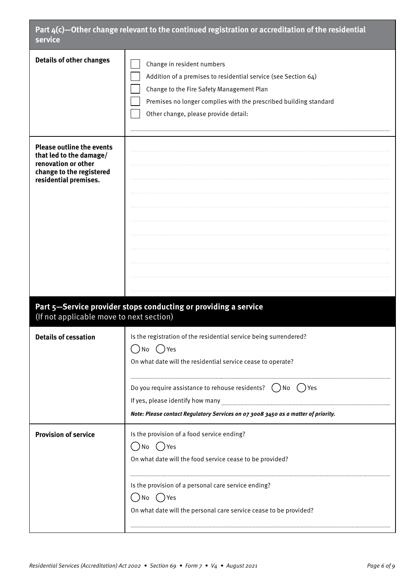| Part $4(c)$ –Other change relevant to the continued registration or accreditation of the residential<br>service                         |                                                                                                                                                                                                                                                                                                                                                                      |
|-----------------------------------------------------------------------------------------------------------------------------------------|----------------------------------------------------------------------------------------------------------------------------------------------------------------------------------------------------------------------------------------------------------------------------------------------------------------------------------------------------------------------|
| <b>Details of other changes</b>                                                                                                         | Change in resident numbers<br>Addition of a premises to residential service (see Section 64)<br>Change to the Fire Safety Management Plan<br>Premises no longer complies with the prescribed building standard<br>Other change, please provide detail:                                                                                                               |
| <b>Please outline the events</b><br>that led to the damage/<br>renovation or other<br>change to the registered<br>residential premises. |                                                                                                                                                                                                                                                                                                                                                                      |
| Part 5-Service provider stops conducting or providing a service<br>(If not applicable move to next section)                             |                                                                                                                                                                                                                                                                                                                                                                      |
| <b>Details of cessation</b>                                                                                                             | Is the registration of the residential service being surrendered?<br>$()$ Yes<br>No<br>On what date will the residential service cease to operate?<br>Do you require assistance to rehouse residents? $($ $)$ No $($ $)$ Yes<br>If yes, please identify how many                                                                                                     |
| <b>Provision of service</b>                                                                                                             | Note: Please contact Regulatory Services on 07 3008 3450 as a matter of priority.<br>Is the provision of a food service ending?<br>No ( )Yes<br>$\Box$<br>On what date will the food service cease to be provided?<br>Is the provision of a personal care service ending?<br>$()$ Yes<br>. ) No<br>On what date will the personal care service cease to be provided? |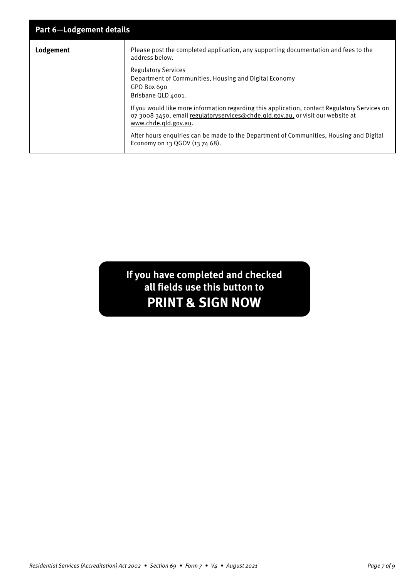| <b>Part 6-Lodgement details</b> |                                                                                                                                                                                                          |  |
|---------------------------------|----------------------------------------------------------------------------------------------------------------------------------------------------------------------------------------------------------|--|
| Lodgement                       | Please post the completed application, any supporting documentation and fees to the<br>address below.                                                                                                    |  |
|                                 | <b>Regulatory Services</b><br>Department of Communities, Housing and Digital Economy<br>GPO Box 690<br>Brisbane QLD 4001.                                                                                |  |
|                                 | If you would like more information regarding this application, contact Regulatory Services on<br>07 3008 3450, email regulatoryservices@chde.gld.gov.au, or visit our website at<br>www.chde.gld.gov.au. |  |
|                                 | After hours enquiries can be made to the Department of Communities, Housing and Digital<br>Economy on 13 QGOV (13 74 68).                                                                                |  |

# **If you have completed and checked all fields use this button to PRINT & SIGN NOW**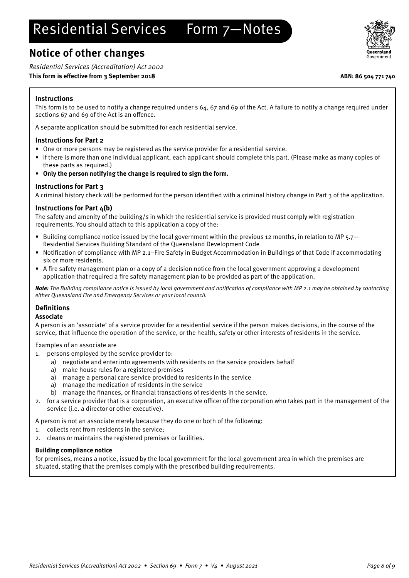# Residential Services Form 7—Notes

# **Notice of other changes**

Residential Services (Accreditation) Act 2002

### **This form is effective from 3 September 2018 ABN: 86 504 771 740**



### **Instructions**

This form is to be used to notify a change required under s 64, 67 and 69 of the Act. A failure to notify a change required under sections 67 and 69 of the Act is an offence.

A separate application should be submitted for each residential service.

### **Instructions for Part 2**

- One or more persons may be registered as the service provider for a residential service.
- If there is more than one individual applicant, each applicant should complete this part. (Please make as many copies of these parts as required.)
- **Only the person notifying the change is required to sign the form.**

### **Instructions for Part 3**

A criminal history check will be performed for the person identified with a criminal history change in Part 3 of the application.

### **Instructions for Part 4(b)**

The safety and amenity of the building/s in which the residential service is provided must comply with registration requirements. You should attach to this application a copy of the:

- Building compliance notice issued by the local government within the previous 12 months, in relation to MP 5.7– Residential Services Building Standard of the Queensland Development Code
- Notification of compliance with MP 2.1–Fire Safety in Budget Accommodation in Buildings of that Code if accommodating six or more residents.
- A fire safety management plan or a copy of a decision notice from the local government approving a development application that required a fire safety management plan to be provided as part of the application.

**Note:** The Building compliance notice is issued by local government and notification of compliance with MP 2.1 may be obtained by contacting either Queensland Fire and Emergency Services or your local council.

### **Definitions**

### **Associate**

A person is an 'associate' of a service provider for a residential service if the person makes decisions, in the course of the service, that influence the operation of the service, or the health, safety or other interests of residents in the service.

Examples of an associate are

- persons employed by the service provider to:
	- a) negotiate and enter into agreements with residents on the service providers behalf
	- a) make house rules for a registered premises
	- a) manage a personal care service provided to residents in the service
	- a) manage the medication of residents in the service
	- b) manage the finances, or financial transactions of residents in the service.
- 2. for a service provider that is a corporation, an executive officer of the corporation who takes part in the management of the service (i.e. a director or other executive).

A person is not an associate merely because they do one or both of the following:

- 1. collects rent from residents in the service;
- 2. cleans or maintains the registered premises or facilities.

### **Building compliance notice**

for premises, means a notice, issued by the local government for the local government area in which the premises are situated, stating that the premises comply with the prescribed building requirements.